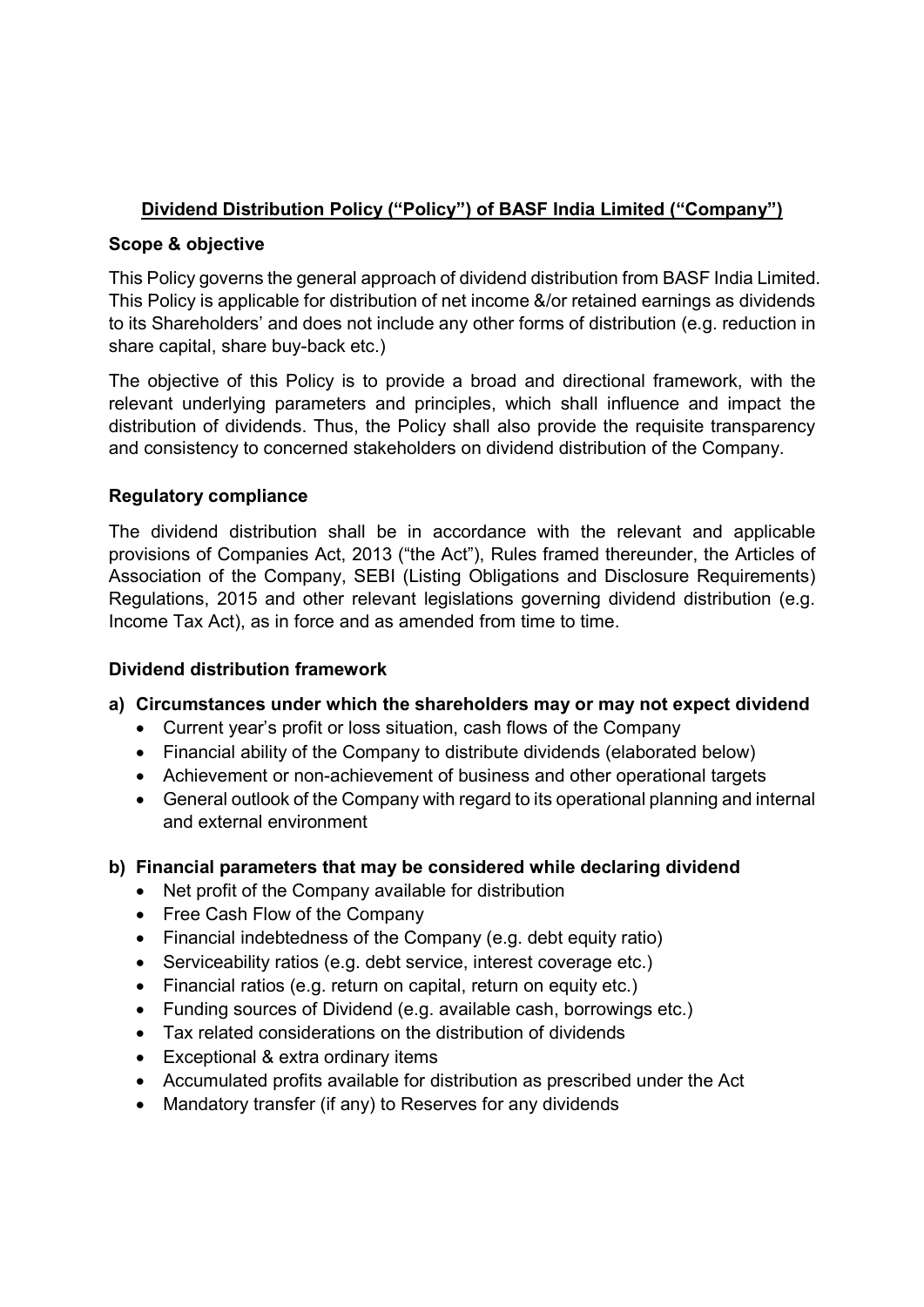# **Dividend Distribution Policy ("Policy") of BASF India Limited ("Company")**

### **Scope & objective**

This Policy governs the general approach of dividend distribution from BASF India Limited. This Policy is applicable for distribution of net income &/or retained earnings as dividends to its Shareholders' and does not include any other forms of distribution (e.g. reduction in share capital, share buy-back etc.)

The objective of this Policy is to provide a broad and directional framework, with the relevant underlying parameters and principles, which shall influence and impact the distribution of dividends. Thus, the Policy shall also provide the requisite transparency and consistency to concerned stakeholders on dividend distribution of the Company.

### **Regulatory compliance**

The dividend distribution shall be in accordance with the relevant and applicable provisions of Companies Act, 2013 ("the Act"), Rules framed thereunder, the Articles of Association of the Company, SEBI (Listing Obligations and Disclosure Requirements) Regulations, 2015 and other relevant legislations governing dividend distribution (e.g. Income Tax Act), as in force and as amended from time to time.

#### **Dividend distribution framework**

## **a) Circumstances under which the shareholders may or may not expect dividend**

- Current year's profit or loss situation, cash flows of the Company
- Financial ability of the Company to distribute dividends (elaborated below)
- Achievement or non-achievement of business and other operational targets
- General outlook of the Company with regard to its operational planning and internal and external environment
- **b) Financial parameters that may be considered while declaring dividend** 
	- Net profit of the Company available for distribution
	- Free Cash Flow of the Company
	- Financial indebtedness of the Company (e.g. debt equity ratio)
	- Serviceability ratios (e.g. debt service, interest coverage etc.)
	- Financial ratios (e.g. return on capital, return on equity etc.)
	- Funding sources of Dividend (e.g. available cash, borrowings etc.)
	- Tax related considerations on the distribution of dividends
	- Exceptional & extra ordinary items
	- Accumulated profits available for distribution as prescribed under the Act
	- Mandatory transfer (if any) to Reserves for any dividends